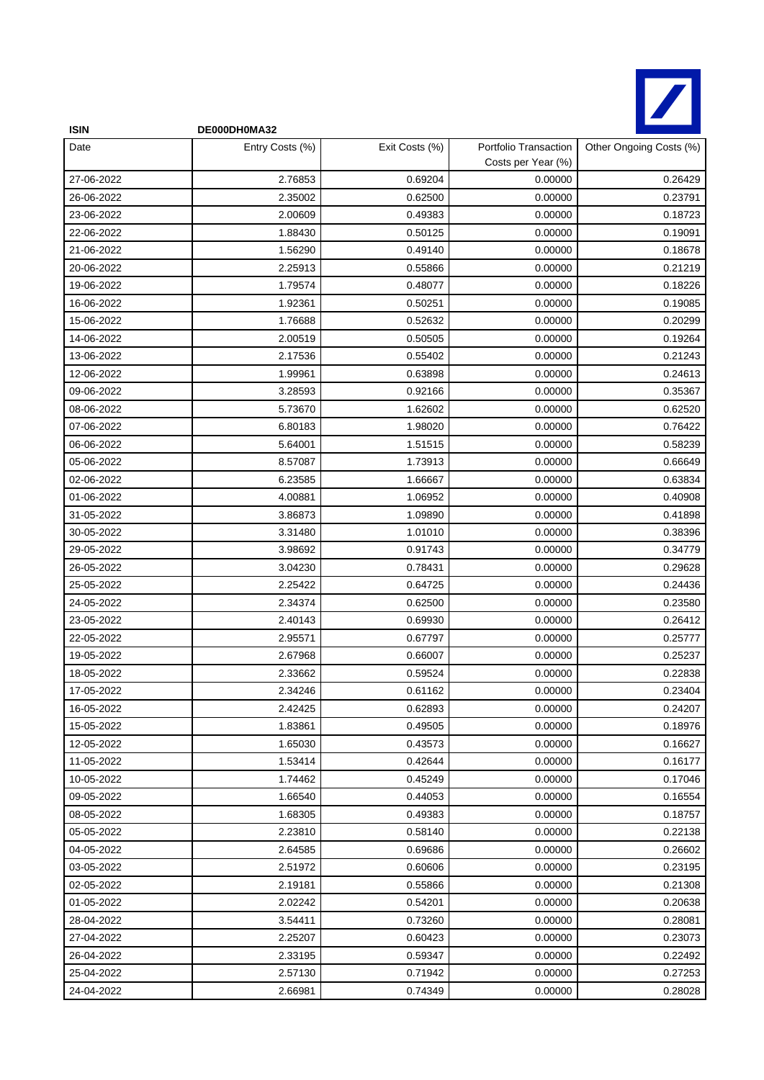

| <b>ISIN</b> | DE000DH0MA32    |                |                                             |                         |
|-------------|-----------------|----------------|---------------------------------------------|-------------------------|
| Date        | Entry Costs (%) | Exit Costs (%) | Portfolio Transaction<br>Costs per Year (%) | Other Ongoing Costs (%) |
| 27-06-2022  | 2.76853         | 0.69204        | 0.00000                                     | 0.26429                 |
| 26-06-2022  | 2.35002         | 0.62500        | 0.00000                                     | 0.23791                 |
| 23-06-2022  | 2.00609         | 0.49383        | 0.00000                                     | 0.18723                 |
| 22-06-2022  | 1.88430         | 0.50125        | 0.00000                                     | 0.19091                 |
| 21-06-2022  | 1.56290         | 0.49140        | 0.00000                                     | 0.18678                 |
| 20-06-2022  | 2.25913         | 0.55866        | 0.00000                                     | 0.21219                 |
| 19-06-2022  | 1.79574         | 0.48077        | 0.00000                                     | 0.18226                 |
| 16-06-2022  | 1.92361         | 0.50251        | 0.00000                                     | 0.19085                 |
| 15-06-2022  | 1.76688         | 0.52632        | 0.00000                                     | 0.20299                 |
| 14-06-2022  | 2.00519         | 0.50505        | 0.00000                                     | 0.19264                 |
| 13-06-2022  | 2.17536         | 0.55402        | 0.00000                                     | 0.21243                 |
| 12-06-2022  | 1.99961         | 0.63898        | 0.00000                                     | 0.24613                 |
| 09-06-2022  | 3.28593         | 0.92166        | 0.00000                                     | 0.35367                 |
| 08-06-2022  | 5.73670         | 1.62602        | 0.00000                                     | 0.62520                 |
| 07-06-2022  | 6.80183         | 1.98020        | 0.00000                                     | 0.76422                 |
| 06-06-2022  | 5.64001         | 1.51515        | 0.00000                                     | 0.58239                 |
| 05-06-2022  | 8.57087         | 1.73913        | 0.00000                                     | 0.66649                 |
| 02-06-2022  | 6.23585         | 1.66667        | 0.00000                                     | 0.63834                 |
| 01-06-2022  | 4.00881         | 1.06952        | 0.00000                                     | 0.40908                 |
| 31-05-2022  | 3.86873         | 1.09890        | 0.00000                                     | 0.41898                 |
| 30-05-2022  | 3.31480         | 1.01010        | 0.00000                                     | 0.38396                 |
| 29-05-2022  | 3.98692         | 0.91743        | 0.00000                                     | 0.34779                 |
| 26-05-2022  | 3.04230         | 0.78431        | 0.00000                                     | 0.29628                 |
| 25-05-2022  | 2.25422         | 0.64725        | 0.00000                                     | 0.24436                 |
| 24-05-2022  | 2.34374         | 0.62500        | 0.00000                                     | 0.23580                 |
| 23-05-2022  | 2.40143         | 0.69930        | 0.00000                                     | 0.26412                 |
| 22-05-2022  | 2.95571         | 0.67797        | 0.00000                                     | 0.25777                 |
| 19-05-2022  | 2.67968         | 0.66007        | 0.00000                                     | 0.25237                 |
| 18-05-2022  | 2.33662         | 0.59524        | 0.00000                                     | 0.22838                 |
| 17-05-2022  | 2.34246         | 0.61162        | 0.00000                                     | 0.23404                 |
| 16-05-2022  | 2.42425         | 0.62893        | 0.00000                                     | 0.24207                 |
| 15-05-2022  | 1.83861         | 0.49505        | 0.00000                                     | 0.18976                 |
| 12-05-2022  | 1.65030         | 0.43573        | 0.00000                                     | 0.16627                 |
| 11-05-2022  | 1.53414         | 0.42644        | 0.00000                                     | 0.16177                 |
| 10-05-2022  | 1.74462         | 0.45249        | 0.00000                                     | 0.17046                 |
| 09-05-2022  | 1.66540         | 0.44053        | 0.00000                                     | 0.16554                 |
| 08-05-2022  | 1.68305         | 0.49383        | 0.00000                                     | 0.18757                 |
| 05-05-2022  | 2.23810         | 0.58140        | 0.00000                                     | 0.22138                 |
| 04-05-2022  | 2.64585         | 0.69686        | 0.00000                                     | 0.26602                 |
| 03-05-2022  | 2.51972         | 0.60606        | 0.00000                                     | 0.23195                 |
| 02-05-2022  | 2.19181         | 0.55866        | 0.00000                                     | 0.21308                 |
| 01-05-2022  | 2.02242         | 0.54201        | 0.00000                                     | 0.20638                 |
| 28-04-2022  | 3.54411         | 0.73260        | 0.00000                                     | 0.28081                 |
| 27-04-2022  | 2.25207         | 0.60423        | 0.00000                                     | 0.23073                 |
| 26-04-2022  | 2.33195         | 0.59347        | 0.00000                                     | 0.22492                 |
| 25-04-2022  | 2.57130         | 0.71942        | 0.00000                                     | 0.27253                 |
| 24-04-2022  | 2.66981         | 0.74349        | 0.00000                                     | 0.28028                 |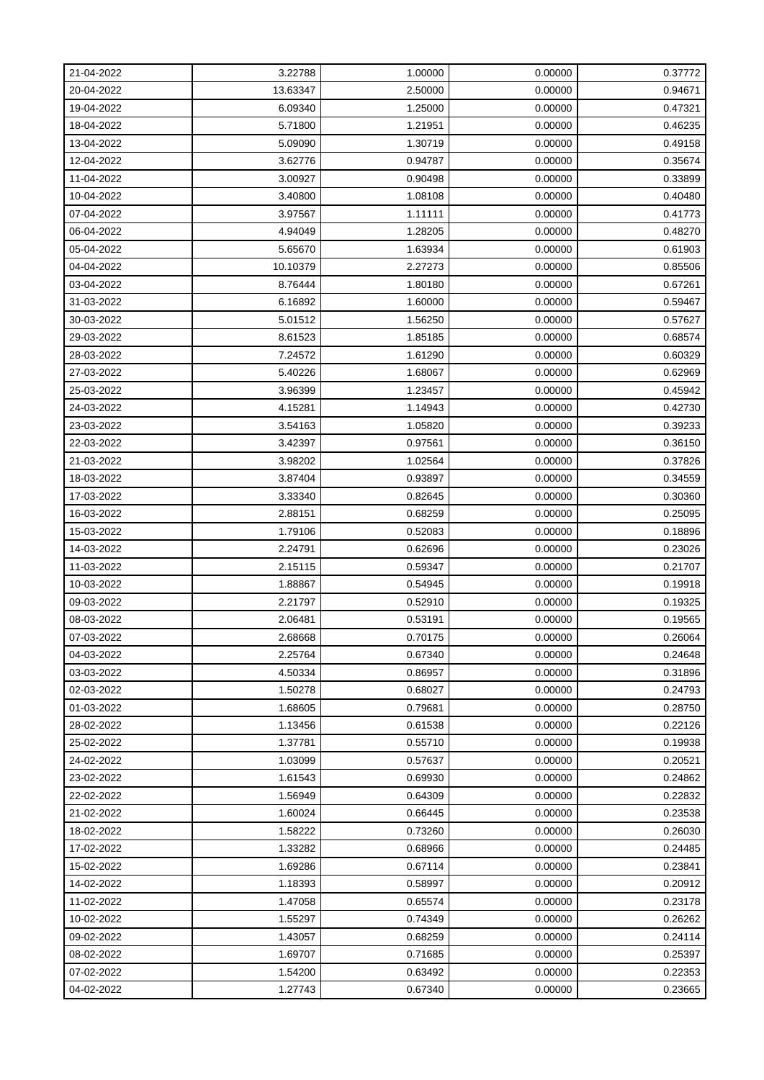| 21-04-2022 | 3.22788  | 1.00000 | 0.00000 | 0.37772 |
|------------|----------|---------|---------|---------|
| 20-04-2022 | 13.63347 | 2.50000 | 0.00000 | 0.94671 |
| 19-04-2022 | 6.09340  | 1.25000 | 0.00000 | 0.47321 |
| 18-04-2022 | 5.71800  | 1.21951 | 0.00000 | 0.46235 |
| 13-04-2022 | 5.09090  | 1.30719 | 0.00000 | 0.49158 |
| 12-04-2022 | 3.62776  | 0.94787 | 0.00000 | 0.35674 |
| 11-04-2022 | 3.00927  | 0.90498 | 0.00000 | 0.33899 |
| 10-04-2022 | 3.40800  | 1.08108 | 0.00000 | 0.40480 |
| 07-04-2022 | 3.97567  | 1.11111 | 0.00000 | 0.41773 |
| 06-04-2022 | 4.94049  | 1.28205 | 0.00000 | 0.48270 |
| 05-04-2022 | 5.65670  | 1.63934 | 0.00000 | 0.61903 |
| 04-04-2022 | 10.10379 | 2.27273 | 0.00000 | 0.85506 |
| 03-04-2022 | 8.76444  | 1.80180 | 0.00000 | 0.67261 |
| 31-03-2022 | 6.16892  | 1.60000 | 0.00000 | 0.59467 |
| 30-03-2022 | 5.01512  | 1.56250 | 0.00000 | 0.57627 |
| 29-03-2022 | 8.61523  | 1.85185 | 0.00000 | 0.68574 |
| 28-03-2022 | 7.24572  | 1.61290 | 0.00000 | 0.60329 |
| 27-03-2022 | 5.40226  | 1.68067 | 0.00000 | 0.62969 |
| 25-03-2022 | 3.96399  | 1.23457 | 0.00000 | 0.45942 |
| 24-03-2022 | 4.15281  | 1.14943 | 0.00000 | 0.42730 |
| 23-03-2022 | 3.54163  | 1.05820 | 0.00000 | 0.39233 |
| 22-03-2022 | 3.42397  | 0.97561 | 0.00000 | 0.36150 |
| 21-03-2022 | 3.98202  | 1.02564 | 0.00000 | 0.37826 |
| 18-03-2022 | 3.87404  | 0.93897 | 0.00000 | 0.34559 |
| 17-03-2022 | 3.33340  | 0.82645 | 0.00000 | 0.30360 |
| 16-03-2022 | 2.88151  | 0.68259 | 0.00000 | 0.25095 |
| 15-03-2022 | 1.79106  | 0.52083 | 0.00000 | 0.18896 |
| 14-03-2022 | 2.24791  | 0.62696 | 0.00000 | 0.23026 |
| 11-03-2022 | 2.15115  | 0.59347 | 0.00000 | 0.21707 |
| 10-03-2022 | 1.88867  | 0.54945 | 0.00000 | 0.19918 |
| 09-03-2022 | 2.21797  | 0.52910 | 0.00000 | 0.19325 |
| 08-03-2022 | 2.06481  | 0.53191 | 0.00000 | 0.19565 |
| 07-03-2022 | 2.68668  | 0.70175 | 0.00000 | 0.26064 |
| 04-03-2022 | 2.25764  | 0.67340 | 0.00000 | 0.24648 |
| 03-03-2022 | 4.50334  | 0.86957 | 0.00000 | 0.31896 |
| 02-03-2022 | 1.50278  | 0.68027 | 0.00000 | 0.24793 |
| 01-03-2022 | 1.68605  | 0.79681 | 0.00000 | 0.28750 |
| 28-02-2022 | 1.13456  | 0.61538 | 0.00000 | 0.22126 |
| 25-02-2022 | 1.37781  | 0.55710 | 0.00000 | 0.19938 |
| 24-02-2022 | 1.03099  | 0.57637 | 0.00000 | 0.20521 |
| 23-02-2022 | 1.61543  | 0.69930 | 0.00000 | 0.24862 |
| 22-02-2022 | 1.56949  | 0.64309 | 0.00000 | 0.22832 |
| 21-02-2022 | 1.60024  | 0.66445 | 0.00000 | 0.23538 |
| 18-02-2022 | 1.58222  | 0.73260 | 0.00000 | 0.26030 |
| 17-02-2022 | 1.33282  | 0.68966 | 0.00000 | 0.24485 |
| 15-02-2022 | 1.69286  | 0.67114 | 0.00000 | 0.23841 |
| 14-02-2022 | 1.18393  | 0.58997 | 0.00000 | 0.20912 |
| 11-02-2022 | 1.47058  | 0.65574 | 0.00000 | 0.23178 |
| 10-02-2022 | 1.55297  | 0.74349 | 0.00000 | 0.26262 |
| 09-02-2022 | 1.43057  | 0.68259 | 0.00000 | 0.24114 |
| 08-02-2022 | 1.69707  | 0.71685 | 0.00000 | 0.25397 |
| 07-02-2022 | 1.54200  | 0.63492 | 0.00000 | 0.22353 |
| 04-02-2022 | 1.27743  | 0.67340 | 0.00000 | 0.23665 |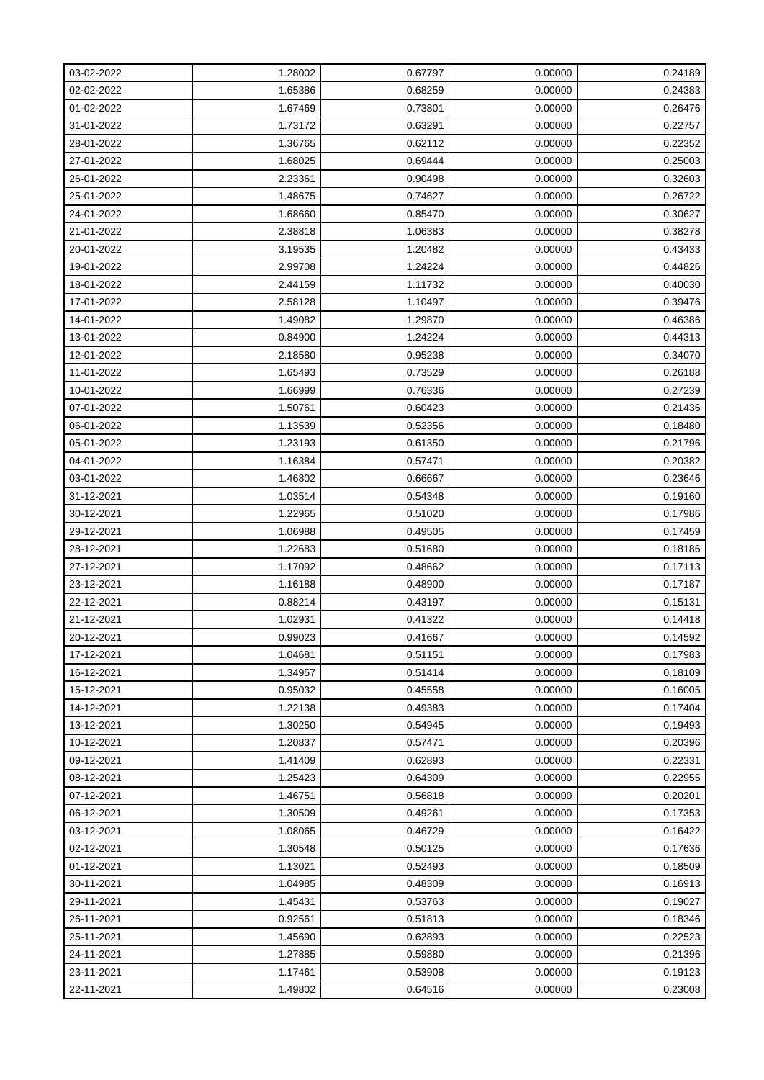| 03-02-2022 | 1.28002 | 0.67797 | 0.00000 | 0.24189 |
|------------|---------|---------|---------|---------|
| 02-02-2022 | 1.65386 | 0.68259 | 0.00000 | 0.24383 |
| 01-02-2022 | 1.67469 | 0.73801 | 0.00000 | 0.26476 |
| 31-01-2022 | 1.73172 | 0.63291 | 0.00000 | 0.22757 |
| 28-01-2022 | 1.36765 | 0.62112 | 0.00000 | 0.22352 |
| 27-01-2022 | 1.68025 | 0.69444 | 0.00000 | 0.25003 |
| 26-01-2022 | 2.23361 | 0.90498 | 0.00000 | 0.32603 |
| 25-01-2022 | 1.48675 | 0.74627 | 0.00000 | 0.26722 |
| 24-01-2022 | 1.68660 | 0.85470 | 0.00000 | 0.30627 |
| 21-01-2022 | 2.38818 | 1.06383 | 0.00000 | 0.38278 |
| 20-01-2022 | 3.19535 | 1.20482 | 0.00000 | 0.43433 |
| 19-01-2022 | 2.99708 | 1.24224 | 0.00000 | 0.44826 |
| 18-01-2022 | 2.44159 | 1.11732 | 0.00000 | 0.40030 |
| 17-01-2022 | 2.58128 | 1.10497 | 0.00000 | 0.39476 |
| 14-01-2022 | 1.49082 | 1.29870 | 0.00000 | 0.46386 |
| 13-01-2022 | 0.84900 | 1.24224 | 0.00000 | 0.44313 |
| 12-01-2022 | 2.18580 | 0.95238 | 0.00000 | 0.34070 |
| 11-01-2022 | 1.65493 | 0.73529 | 0.00000 | 0.26188 |
| 10-01-2022 | 1.66999 | 0.76336 | 0.00000 | 0.27239 |
| 07-01-2022 | 1.50761 | 0.60423 | 0.00000 | 0.21436 |
| 06-01-2022 | 1.13539 | 0.52356 | 0.00000 | 0.18480 |
| 05-01-2022 | 1.23193 | 0.61350 | 0.00000 | 0.21796 |
| 04-01-2022 | 1.16384 | 0.57471 | 0.00000 | 0.20382 |
| 03-01-2022 | 1.46802 | 0.66667 | 0.00000 | 0.23646 |
| 31-12-2021 | 1.03514 | 0.54348 | 0.00000 | 0.19160 |
| 30-12-2021 | 1.22965 | 0.51020 | 0.00000 | 0.17986 |
| 29-12-2021 | 1.06988 | 0.49505 | 0.00000 | 0.17459 |
| 28-12-2021 | 1.22683 | 0.51680 | 0.00000 | 0.18186 |
| 27-12-2021 | 1.17092 | 0.48662 | 0.00000 | 0.17113 |
| 23-12-2021 | 1.16188 | 0.48900 | 0.00000 | 0.17187 |
| 22-12-2021 | 0.88214 | 0.43197 | 0.00000 | 0.15131 |
| 21-12-2021 | 1.02931 | 0.41322 | 0.00000 | 0.14418 |
| 20-12-2021 | 0.99023 | 0.41667 | 0.00000 | 0.14592 |
| 17-12-2021 | 1.04681 | 0.51151 | 0.00000 | 0.17983 |
| 16-12-2021 | 1.34957 | 0.51414 | 0.00000 | 0.18109 |
| 15-12-2021 | 0.95032 | 0.45558 | 0.00000 | 0.16005 |
| 14-12-2021 | 1.22138 | 0.49383 | 0.00000 | 0.17404 |
| 13-12-2021 | 1.30250 | 0.54945 | 0.00000 | 0.19493 |
| 10-12-2021 | 1.20837 | 0.57471 | 0.00000 | 0.20396 |
| 09-12-2021 | 1.41409 | 0.62893 | 0.00000 | 0.22331 |
| 08-12-2021 | 1.25423 | 0.64309 | 0.00000 | 0.22955 |
| 07-12-2021 | 1.46751 | 0.56818 | 0.00000 | 0.20201 |
| 06-12-2021 | 1.30509 | 0.49261 | 0.00000 | 0.17353 |
| 03-12-2021 | 1.08065 | 0.46729 | 0.00000 | 0.16422 |
| 02-12-2021 | 1.30548 | 0.50125 | 0.00000 | 0.17636 |
| 01-12-2021 | 1.13021 | 0.52493 | 0.00000 | 0.18509 |
| 30-11-2021 | 1.04985 | 0.48309 | 0.00000 | 0.16913 |
| 29-11-2021 | 1.45431 | 0.53763 | 0.00000 | 0.19027 |
| 26-11-2021 | 0.92561 | 0.51813 | 0.00000 | 0.18346 |
| 25-11-2021 | 1.45690 | 0.62893 | 0.00000 | 0.22523 |
| 24-11-2021 | 1.27885 | 0.59880 | 0.00000 | 0.21396 |
| 23-11-2021 | 1.17461 | 0.53908 | 0.00000 | 0.19123 |
| 22-11-2021 | 1.49802 | 0.64516 | 0.00000 | 0.23008 |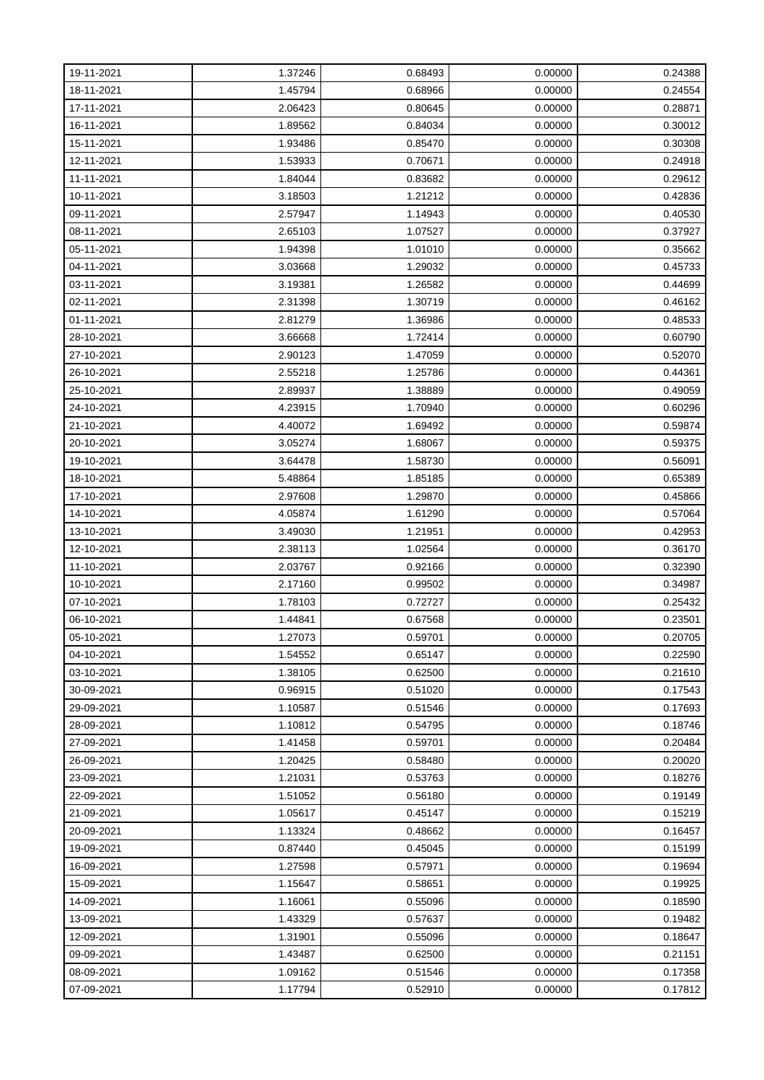| 19-11-2021 | 1.37246 | 0.68493 | 0.00000 | 0.24388 |
|------------|---------|---------|---------|---------|
| 18-11-2021 | 1.45794 | 0.68966 | 0.00000 | 0.24554 |
| 17-11-2021 | 2.06423 | 0.80645 | 0.00000 | 0.28871 |
| 16-11-2021 | 1.89562 | 0.84034 | 0.00000 | 0.30012 |
| 15-11-2021 | 1.93486 | 0.85470 | 0.00000 | 0.30308 |
| 12-11-2021 | 1.53933 | 0.70671 | 0.00000 | 0.24918 |
| 11-11-2021 | 1.84044 | 0.83682 | 0.00000 | 0.29612 |
| 10-11-2021 | 3.18503 | 1.21212 | 0.00000 | 0.42836 |
| 09-11-2021 | 2.57947 | 1.14943 | 0.00000 | 0.40530 |
| 08-11-2021 | 2.65103 | 1.07527 | 0.00000 | 0.37927 |
| 05-11-2021 | 1.94398 | 1.01010 | 0.00000 | 0.35662 |
| 04-11-2021 | 3.03668 | 1.29032 | 0.00000 | 0.45733 |
| 03-11-2021 | 3.19381 | 1.26582 | 0.00000 | 0.44699 |
| 02-11-2021 | 2.31398 | 1.30719 | 0.00000 | 0.46162 |
| 01-11-2021 | 2.81279 | 1.36986 | 0.00000 | 0.48533 |
| 28-10-2021 | 3.66668 | 1.72414 | 0.00000 | 0.60790 |
| 27-10-2021 | 2.90123 | 1.47059 | 0.00000 | 0.52070 |
| 26-10-2021 | 2.55218 | 1.25786 | 0.00000 | 0.44361 |
| 25-10-2021 | 2.89937 | 1.38889 | 0.00000 | 0.49059 |
| 24-10-2021 | 4.23915 | 1.70940 | 0.00000 | 0.60296 |
| 21-10-2021 | 4.40072 | 1.69492 | 0.00000 | 0.59874 |
| 20-10-2021 | 3.05274 | 1.68067 | 0.00000 | 0.59375 |
| 19-10-2021 | 3.64478 | 1.58730 | 0.00000 | 0.56091 |
| 18-10-2021 | 5.48864 | 1.85185 | 0.00000 | 0.65389 |
| 17-10-2021 | 2.97608 | 1.29870 | 0.00000 | 0.45866 |
| 14-10-2021 | 4.05874 | 1.61290 | 0.00000 | 0.57064 |
| 13-10-2021 | 3.49030 | 1.21951 | 0.00000 | 0.42953 |
| 12-10-2021 | 2.38113 | 1.02564 | 0.00000 | 0.36170 |
| 11-10-2021 | 2.03767 | 0.92166 | 0.00000 | 0.32390 |
| 10-10-2021 | 2.17160 | 0.99502 | 0.00000 | 0.34987 |
| 07-10-2021 | 1.78103 | 0.72727 | 0.00000 | 0.25432 |
| 06-10-2021 | 1.44841 | 0.67568 | 0.00000 | 0.23501 |
| 05-10-2021 | 1.27073 | 0.59701 | 0.00000 | 0.20705 |
| 04-10-2021 | 1.54552 | 0.65147 | 0.00000 | 0.22590 |
| 03-10-2021 | 1.38105 | 0.62500 | 0.00000 | 0.21610 |
| 30-09-2021 | 0.96915 | 0.51020 | 0.00000 | 0.17543 |
| 29-09-2021 | 1.10587 | 0.51546 | 0.00000 | 0.17693 |
| 28-09-2021 | 1.10812 | 0.54795 | 0.00000 | 0.18746 |
| 27-09-2021 | 1.41458 | 0.59701 | 0.00000 | 0.20484 |
| 26-09-2021 | 1.20425 | 0.58480 | 0.00000 | 0.20020 |
| 23-09-2021 | 1.21031 | 0.53763 | 0.00000 | 0.18276 |
| 22-09-2021 | 1.51052 | 0.56180 | 0.00000 | 0.19149 |
| 21-09-2021 | 1.05617 | 0.45147 | 0.00000 | 0.15219 |
| 20-09-2021 | 1.13324 | 0.48662 | 0.00000 | 0.16457 |
| 19-09-2021 | 0.87440 | 0.45045 | 0.00000 | 0.15199 |
| 16-09-2021 | 1.27598 | 0.57971 | 0.00000 | 0.19694 |
| 15-09-2021 | 1.15647 | 0.58651 | 0.00000 | 0.19925 |
| 14-09-2021 | 1.16061 | 0.55096 | 0.00000 | 0.18590 |
| 13-09-2021 | 1.43329 | 0.57637 | 0.00000 | 0.19482 |
| 12-09-2021 | 1.31901 | 0.55096 | 0.00000 | 0.18647 |
| 09-09-2021 | 1.43487 | 0.62500 | 0.00000 | 0.21151 |
| 08-09-2021 | 1.09162 | 0.51546 | 0.00000 | 0.17358 |
| 07-09-2021 | 1.17794 | 0.52910 | 0.00000 | 0.17812 |